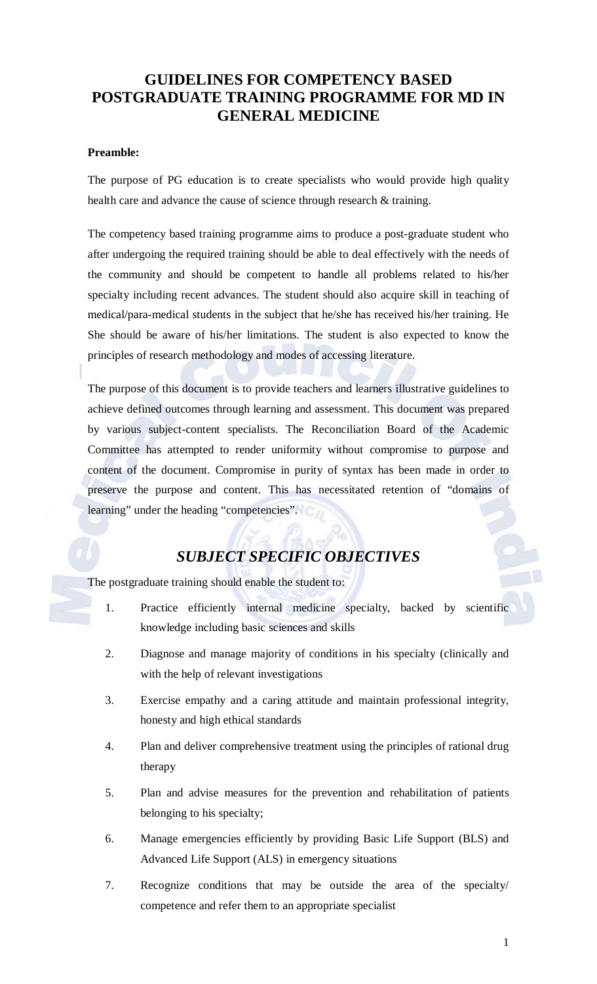# **GUIDELINES FOR COMPETENCY BASED POSTGRADUATE TRAINING PROGRAMME FOR MD IN GENERAL MEDICINE**

## **Preamble:**

The purpose of PG education is to create specialists who would provide high quality health care and advance the cause of science through research & training.

The competency based training programme aims to produce a post-graduate student who after undergoing the required training should be able to deal effectively with the needs of the community and should be competent to handle all problems related to his/her specialty including recent advances. The student should also acquire skill in teaching of medical/para-medical students in the subject that he/she has received his/her training. He She should be aware of his/her limitations. The student is also expected to know the principles of research methodology and modes of accessing literature.

The purpose of this document is to provide teachers and learners illustrative guidelines to achieve defined outcomes through learning and assessment. This document was prepared by various subject-content specialists. The Reconciliation Board of the Academic Committee has attempted to render uniformity without compromise to purpose and content of the document. Compromise in purity of syntax has been made in order to preserve the purpose and content. This has necessitated retention of "domains of learning" under the heading "competencies".

# *SUBJECT SPECIFIC OBJECTIVES*

The postgraduate training should enable the student to:

- 1. Practice efficiently internal medicine specialty, backed by scientific knowledge including basic sciences and skills
- 2. Diagnose and manage majority of conditions in his specialty (clinically and with the help of relevant investigations
- 3. Exercise empathy and a caring attitude and maintain professional integrity, honesty and high ethical standards
- 4. Plan and deliver comprehensive treatment using the principles of rational drug therapy
- 5. Plan and advise measures for the prevention and rehabilitation of patients belonging to his specialty;
- 6. Manage emergencies efficiently by providing Basic Life Support (BLS) and Advanced Life Support (ALS) in emergency situations
- 7. Recognize conditions that may be outside the area of the specialty/ competence and refer them to an appropriate specialist

1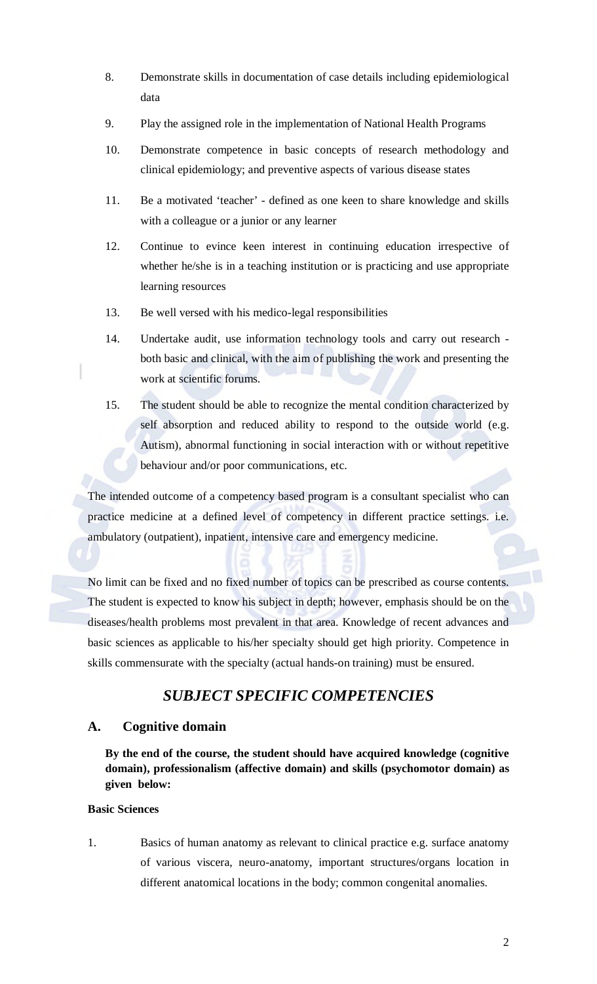- 8. Demonstrate skills in documentation of case details including epidemiological data
- 9. Play the assigned role in the implementation of National Health Programs
- 10. Demonstrate competence in basic concepts of research methodology and clinical epidemiology; and preventive aspects of various disease states
- 11. Be a motivated 'teacher' defined as one keen to share knowledge and skills with a colleague or a junior or any learner
- 12. Continue to evince keen interest in continuing education irrespective of whether he/she is in a teaching institution or is practicing and use appropriate learning resources
- 13. Be well versed with his medico-legal responsibilities
- 14. Undertake audit, use information technology tools and carry out research both basic and clinical, with the aim of publishing the work and presenting the work at scientific forums.
- 15. The student should be able to recognize the mental condition characterized by self absorption and reduced ability to respond to the outside world (e.g. Autism), abnormal functioning in social interaction with or without repetitive behaviour and/or poor communications, etc.

The intended outcome of a competency based program is a consultant specialist who can practice medicine at a defined level of competency in different practice settings. i.e. ambulatory (outpatient), inpatient, intensive care and emergency medicine.

No limit can be fixed and no fixed number of topics can be prescribed as course contents. The student is expected to know his subject in depth; however, emphasis should be on the diseases/health problems most prevalent in that area. Knowledge of recent advances and basic sciences as applicable to his/her specialty should get high priority. Competence in skills commensurate with the specialty (actual hands-on training) must be ensured.

# *SUBJECT SPECIFIC COMPETENCIES*

# **A. Cognitive domain**

**By the end of the course, the student should have acquired knowledge (cognitive domain), professionalism (affective domain) and skills (psychomotor domain) as given below:** 

# **Basic Sciences**

1. Basics of human anatomy as relevant to clinical practice e.g. surface anatomy of various viscera, neuro-anatomy, important structures/organs location in different anatomical locations in the body; common congenital anomalies.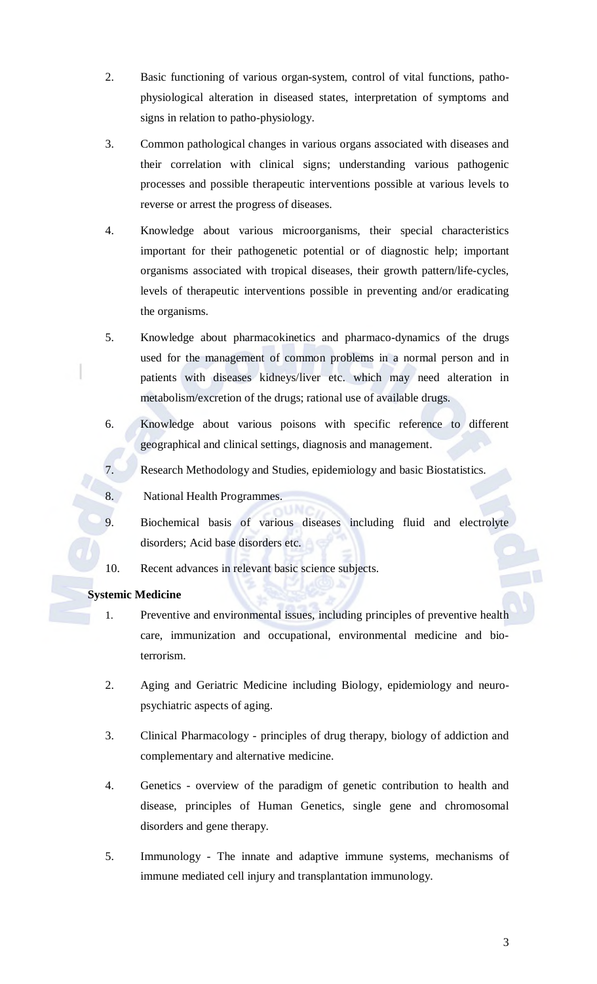- 2. Basic functioning of various organ-system, control of vital functions, pathophysiological alteration in diseased states, interpretation of symptoms and signs in relation to patho-physiology.
- 3. Common pathological changes in various organs associated with diseases and their correlation with clinical signs; understanding various pathogenic processes and possible therapeutic interventions possible at various levels to reverse or arrest the progress of diseases.
- 4. Knowledge about various microorganisms, their special characteristics important for their pathogenetic potential or of diagnostic help; important organisms associated with tropical diseases, their growth pattern/life-cycles, levels of therapeutic interventions possible in preventing and/or eradicating the organisms.
- 5. Knowledge about pharmacokinetics and pharmaco-dynamics of the drugs used for the management of common problems in a normal person and in patients with diseases kidneys/liver etc. which may need alteration in metabolism/excretion of the drugs; rational use of available drugs.
- 6. Knowledge about various poisons with specific reference to different geographical and clinical settings, diagnosis and management.
- 7. Research Methodology and Studies, epidemiology and basic Biostatistics.
- 8. National Health Programmes.
- 9. Biochemical basis of various diseases including fluid and electrolyte disorders; Acid base disorders etc.
- 10. Recent advances in relevant basic science subjects.

# **Systemic Medicine**

- 1. Preventive and environmental issues, including principles of preventive health care, immunization and occupational, environmental medicine and bioterrorism.
- 2. Aging and Geriatric Medicine including Biology, epidemiology and neuropsychiatric aspects of aging.
- 3. Clinical Pharmacology principles of drug therapy, biology of addiction and complementary and alternative medicine.
- 4. Genetics overview of the paradigm of genetic contribution to health and disease, principles of Human Genetics, single gene and chromosomal disorders and gene therapy.
- 5. Immunology The innate and adaptive immune systems, mechanisms of immune mediated cell injury and transplantation immunology.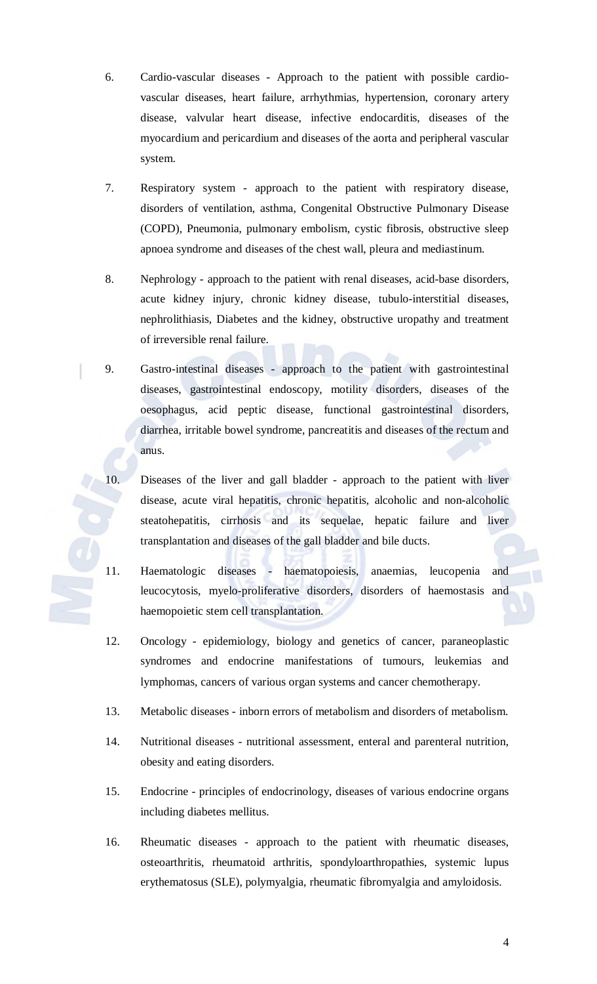- 6. Cardio-vascular diseases Approach to the patient with possible cardiovascular diseases, heart failure, arrhythmias, hypertension, coronary artery disease, valvular heart disease, infective endocarditis, diseases of the myocardium and pericardium and diseases of the aorta and peripheral vascular system.
- 7. Respiratory system approach to the patient with respiratory disease, disorders of ventilation, asthma, Congenital Obstructive Pulmonary Disease (COPD), Pneumonia, pulmonary embolism, cystic fibrosis, obstructive sleep apnoea syndrome and diseases of the chest wall, pleura and mediastinum.
- 8. Nephrology approach to the patient with renal diseases, acid-base disorders, acute kidney injury, chronic kidney disease, tubulo-interstitial diseases, nephrolithiasis, Diabetes and the kidney, obstructive uropathy and treatment of irreversible renal failure.
- 9. Gastro-intestinal diseases approach to the patient with gastrointestinal diseases, gastrointestinal endoscopy, motility disorders, diseases of the oesophagus, acid peptic disease, functional gastrointestinal disorders, diarrhea, irritable bowel syndrome, pancreatitis and diseases of the rectum and anus.
- 10. Diseases of the liver and gall bladder approach to the patient with liver disease, acute viral hepatitis, chronic hepatitis, alcoholic and non-alcoholic steatohepatitis, cirrhosis and its sequelae, hepatic failure and liver transplantation and diseases of the gall bladder and bile ducts.
	- 11. Haematologic diseases haematopoiesis, anaemias, leucopenia and leucocytosis, myelo-proliferative disorders, disorders of haemostasis and haemopoietic stem cell transplantation.
	- 12. Oncology epidemiology, biology and genetics of cancer, paraneoplastic syndromes and endocrine manifestations of tumours, leukemias and lymphomas, cancers of various organ systems and cancer chemotherapy.
	- 13. Metabolic diseases inborn errors of metabolism and disorders of metabolism.
	- 14. Nutritional diseases nutritional assessment, enteral and parenteral nutrition, obesity and eating disorders.
	- 15. Endocrine principles of endocrinology, diseases of various endocrine organs including diabetes mellitus.
	- 16. Rheumatic diseases approach to the patient with rheumatic diseases, osteoarthritis, rheumatoid arthritis, spondyloarthropathies, systemic lupus erythematosus (SLE), polymyalgia, rheumatic fibromyalgia and amyloidosis.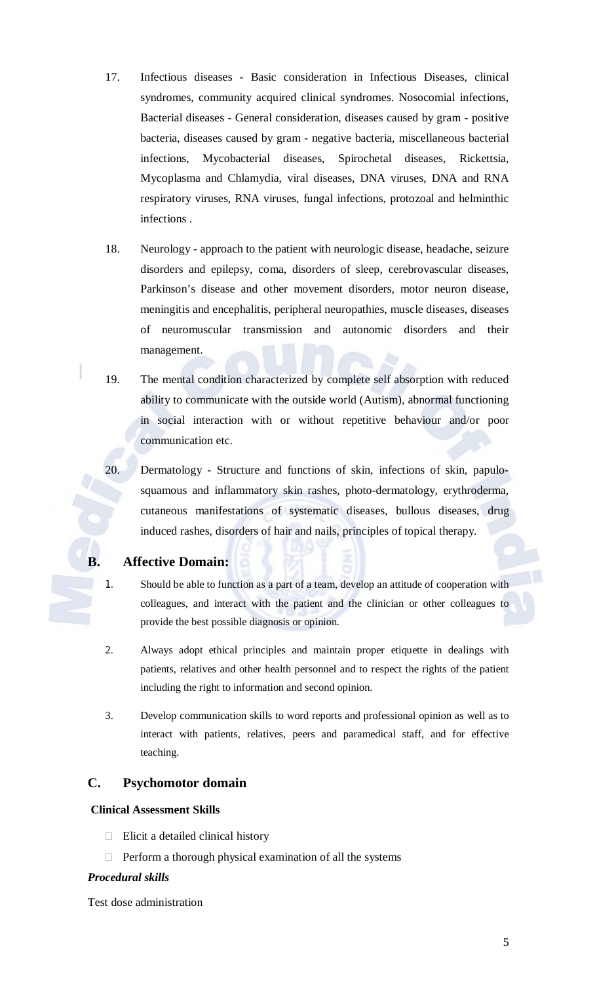- 17. Infectious diseases Basic consideration in Infectious Diseases, clinical syndromes, community acquired clinical syndromes. Nosocomial infections, Bacterial diseases - General consideration, diseases caused by gram - positive bacteria, diseases caused by gram - negative bacteria, miscellaneous bacterial infections, Mycobacterial diseases, Spirochetal diseases, Rickettsia, Mycoplasma and Chlamydia, viral diseases, DNA viruses, DNA and RNA respiratory viruses, RNA viruses, fungal infections, protozoal and helminthic infections .
- 18. Neurology approach to the patient with neurologic disease, headache, seizure disorders and epilepsy, coma, disorders of sleep, cerebrovascular diseases, Parkinson's disease and other movement disorders, motor neuron disease, meningitis and encephalitis, peripheral neuropathies, muscle diseases, diseases of neuromuscular transmission and autonomic disorders and their management.
- 19. The mental condition characterized by complete self absorption with reduced ability to communicate with the outside world (Autism), abnormal functioning in social interaction with or without repetitive behaviour and/or poor communication etc.
- 20. Dermatology Structure and functions of skin, infections of skin, papulosquamous and inflammatory skin rashes, photo-dermatology, erythroderma, cutaneous manifestations of systematic diseases, bullous diseases, drug induced rashes, disorders of hair and nails, principles of topical therapy.

# **B. Affective Domain:**

- 1. Should be able to function as a part of a team, develop an attitude of cooperation with colleagues, and interact with the patient and the clinician or other colleagues to provide the best possible diagnosis or opinion.
- 2. Always adopt ethical principles and maintain proper etiquette in dealings with patients, relatives and other health personnel and to respect the rights of the patient including the right to information and second opinion.
- 3. Develop communication skills to word reports and professional opinion as well as to interact with patients, relatives, peers and paramedical staff, and for effective teaching.

# **C. Psychomotor domain**

#### **Clinical Assessment Skills**

- $\Box$  Elicit a detailed clinical history
- $\Box$  Perform a thorough physical examination of all the systems

#### *Procedural skills*

Test dose administration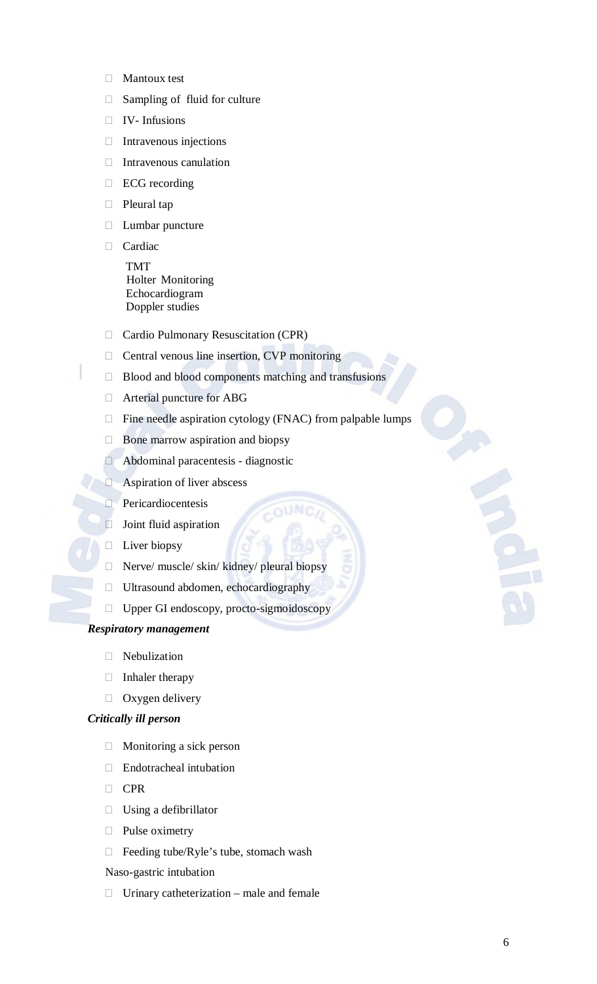- **Mantoux test**
- □ Sampling of fluid for culture
- IV- Infusions
- $\Box$  Intravenous injections
- $\Box$  Intravenous canulation
- □ ECG recording
- □ Pleural tap
- Lumbar puncture
- Cardiac TMT Holter Monitoring Echocardiogram Doppler studies
- □ Cardio Pulmonary Resuscitation (CPR)
- $\Box$  Central venous line insertion, CVP monitoring
- □ Blood and blood components matching and transfusions
- Arterial puncture for ABG
- $\Box$  Fine needle aspiration cytology (FNAC) from palpable lumps

 $OUNC$ 

- $\Box$  Bone marrow aspiration and biopsy
- Abdominal paracentesis diagnostic
- Aspiration of liver abscess
- **Pericardiocentesis**
- $\Box$  Joint fluid aspiration
- $\Box$  Liver biopsy
- $\Box$  Nerve/ muscle/ skin/ kidney/ pleural biopsy
- Ultrasound abdomen, echocardiography
- $\Box$  Upper GI endoscopy, procto-sigmoidoscopy

#### *Respiratory management*

- Nebulization
- $\Box$  Inhaler therapy
- $\Box$  Oxygen delivery

#### *Critically ill person*

- Monitoring a sick person
- Endotracheal intubation
- D CPR
- $\Box$  Using a defibrillator
- D Pulse oximetry
- □ Feeding tube/Ryle's tube, stomach wash

Naso-gastric intubation

 $\Box$  Urinary catheterization – male and female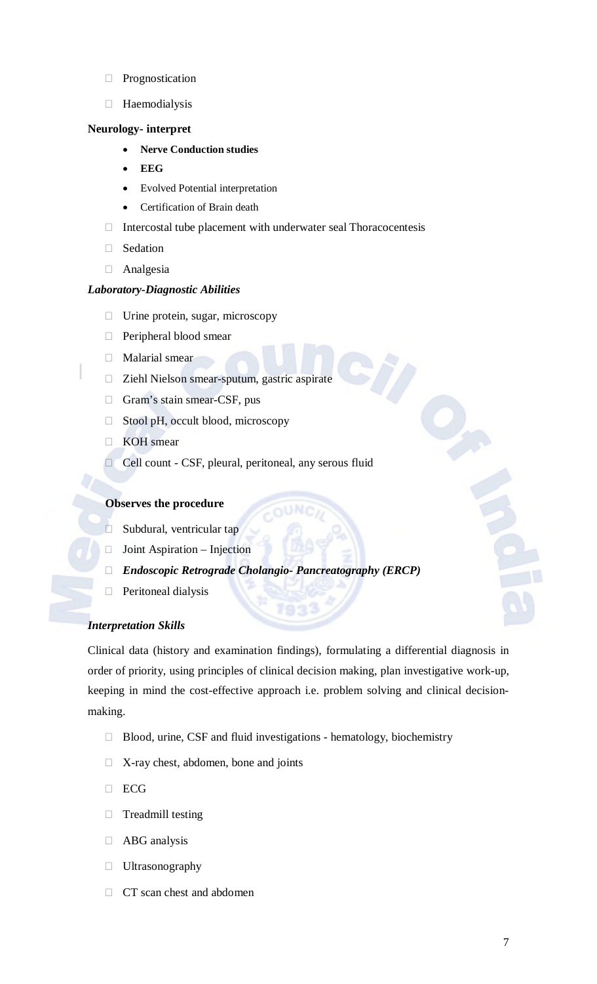- **Prognostication**
- Haemodialysis

## **Neurology- interpret**

- **Nerve Conduction studies**
- **EEG**
- Evolved Potential interpretation
- Certification of Brain death
- $\Box$  Intercostal tube placement with underwater seal Thoracocentesis
- Sedation
- Analgesia

#### *Laboratory-Diagnostic Abilities*

- $\Box$  Urine protein, sugar, microscopy
- Peripheral blood smear
- Malarial smear
- Ziehl Nielson smear-sputum, gastric aspirate
- Gram's stain smear-CSF, pus
- □ Stool pH, occult blood, microscopy
- **EXOH** smear
- Cell count CSF, pleural, peritoneal, any serous fluid

## **Observes the procedure**

- □ Subdural, ventricular tap
- $\Box$  Joint Aspiration Injection
- *Endoscopic Retrograde Cholangio- Pancreatography (ERCP)*
- $\Box$  Peritoneal dialysis

# *Interpretation Skills*

Clinical data (history and examination findings), formulating a differential diagnosis in order of priority, using principles of clinical decision making, plan investigative work-up, keeping in mind the cost-effective approach i.e. problem solving and clinical decisionmaking.

- $\Box$  Blood, urine, CSF and fluid investigations hematology, biochemistry
- $\Box$  X-ray chest, abdomen, bone and joints
- **DECG**
- Treadmill testing
- ABG analysis
- **Ultrasonography**
- CT scan chest and abdomen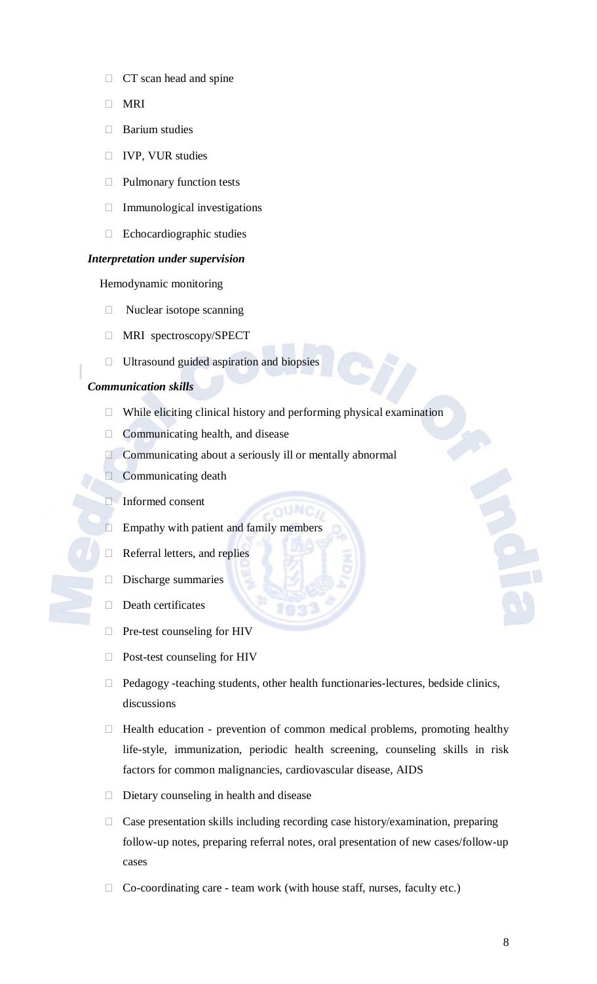- $\Box$  CT scan head and spine
- **D** MRI
- □ Barium studies
- IVP, VUR studies
- D Pulmonary function tests
- Immunological investigations
- Echocardiographic studies

#### *Interpretation under supervision*

Hemodynamic monitoring

- $\Box$  Nuclear isotope scanning
- MRI spectroscopy/SPECT
- $\Box$  Ultrasound guided aspiration and biopsies

#### *Communication skills*

- $\Box$  While eliciting clinical history and performing physical examination
- □ Communicating health, and disease
- Communicating about a seriously ill or mentally abnormal
- $\Box$  Communicating death
- Informed consent
- $\Box$  Empathy with patient and family members
- $\Box$  Referral letters, and replies
- Discharge summaries
- $\Box$  Death certificates
- Pre-test counseling for HIV
- Post-test counseling for HIV
- Pedagogy -teaching students, other health functionaries-lectures, bedside clinics, discussions
- $\Box$  Health education prevention of common medical problems, promoting healthy life-style, immunization, periodic health screening, counseling skills in risk factors for common malignancies, cardiovascular disease, AIDS
- Dietary counseling in health and disease
- $\Box$  Case presentation skills including recording case history/examination, preparing follow-up notes, preparing referral notes, oral presentation of new cases/follow-up cases
- $\Box$  Co-coordinating care team work (with house staff, nurses, faculty etc.)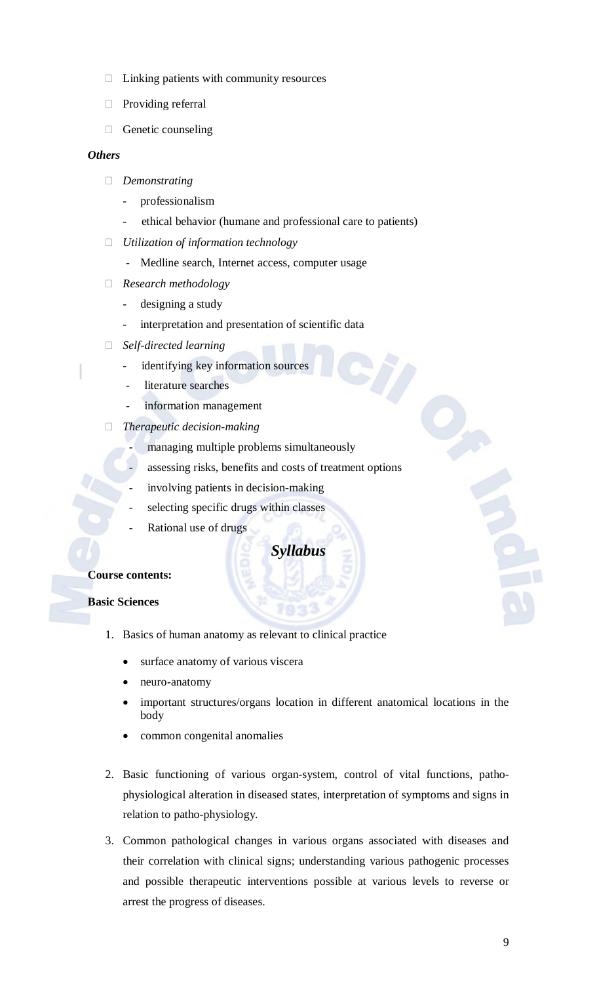- $\Box$  Linking patients with community resources
- **Providing referral**
- $\Box$  Genetic counseling

#### *Others*

- *Demonstrating* 
	- professionalism
	- ethical behavior (humane and professional care to patients)
- *Utilization of information technology* 
	- Medline search, Internet access, computer usage
- *Research methodology* 
	- designing a study
	- interpretation and presentation of scientific data
- *Self-directed learning* 
	- identifying key information sources
	- literature searches
	- information management
- *Therapeutic decision-making* 
	- managing multiple problems simultaneously
	- assessing risks, benefits and costs of treatment options
	- involving patients in decision-making
	- selecting specific drugs within classes
	- Rational use of drugs

# *Syllabus*

#### **Course contents:**

#### **Basic Sciences**

- 1. Basics of human anatomy as relevant to clinical practice
	- surface anatomy of various viscera
	- neuro-anatomy
	- important structures/organs location in different anatomical locations in the body
	- common congenital anomalies
- 2. Basic functioning of various organ-system, control of vital functions, pathophysiological alteration in diseased states, interpretation of symptoms and signs in relation to patho-physiology.
- 3. Common pathological changes in various organs associated with diseases and their correlation with clinical signs; understanding various pathogenic processes and possible therapeutic interventions possible at various levels to reverse or arrest the progress of diseases.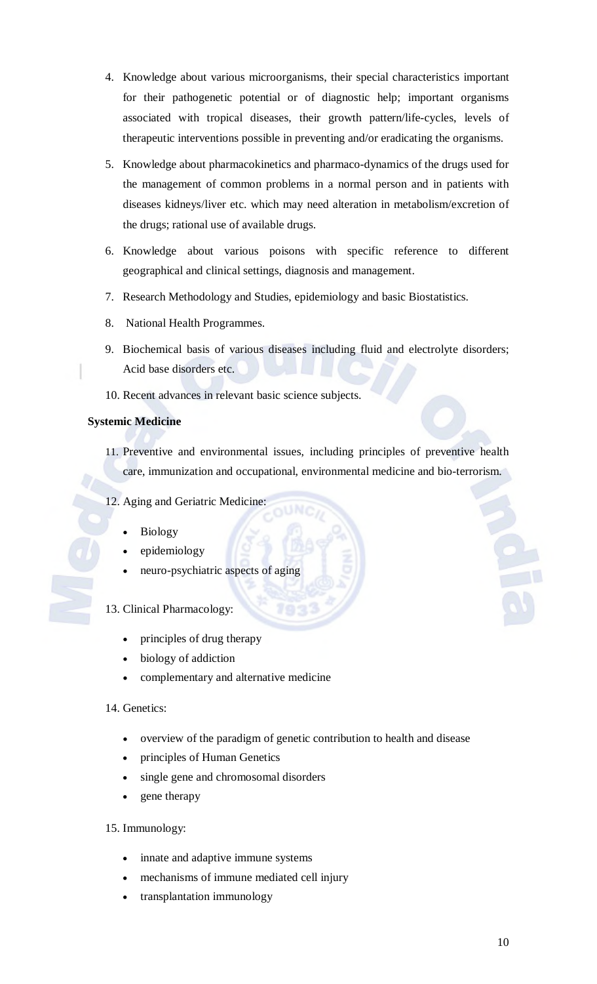- 4. Knowledge about various microorganisms, their special characteristics important for their pathogenetic potential or of diagnostic help; important organisms associated with tropical diseases, their growth pattern/life-cycles, levels of therapeutic interventions possible in preventing and/or eradicating the organisms.
- 5. Knowledge about pharmacokinetics and pharmaco-dynamics of the drugs used for the management of common problems in a normal person and in patients with diseases kidneys/liver etc. which may need alteration in metabolism/excretion of the drugs; rational use of available drugs.
- 6. Knowledge about various poisons with specific reference to different geographical and clinical settings, diagnosis and management.
- 7. Research Methodology and Studies, epidemiology and basic Biostatistics.
- 8. National Health Programmes.
- 9. Biochemical basis of various diseases including fluid and electrolyte disorders; Acid base disorders etc.
- 10. Recent advances in relevant basic science subjects.

## **Systemic Medicine**

- 11. Preventive and environmental issues, including principles of preventive health care, immunization and occupational, environmental medicine and bio-terrorism.
- 12. Aging and Geriatric Medicine:
	- Biology
	- epidemiology
	- neuro-psychiatric aspects of aging

# 13. Clinical Pharmacology:

- principles of drug therapy
- biology of addiction
- complementary and alternative medicine

# 14. Genetics:

- overview of the paradigm of genetic contribution to health and disease
- principles of Human Genetics
- single gene and chromosomal disorders
- gene therapy

# 15. Immunology:

- innate and adaptive immune systems
- mechanisms of immune mediated cell injury
- transplantation immunology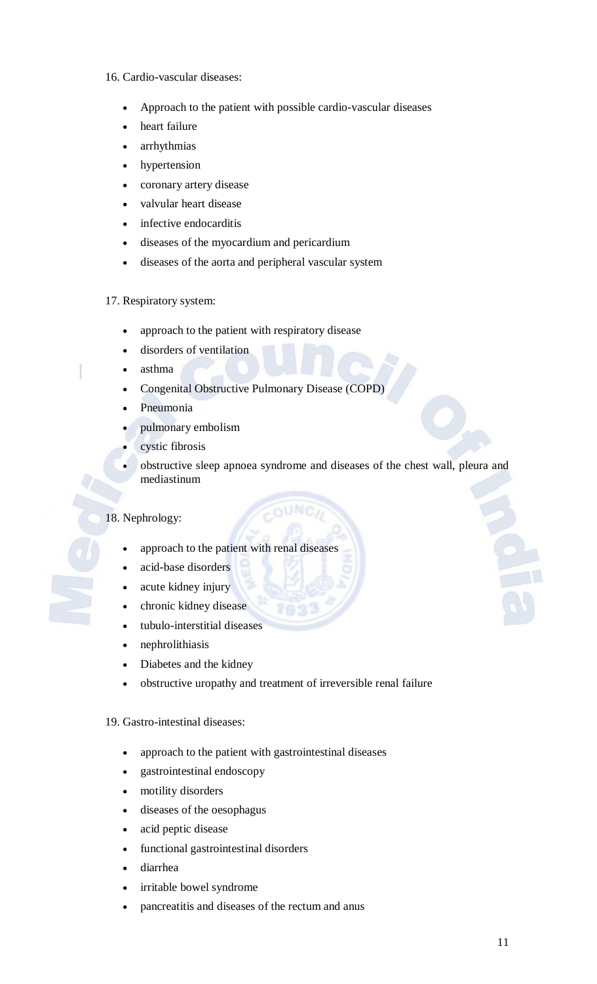#### 16. Cardio-vascular diseases:

- Approach to the patient with possible cardio-vascular diseases
- heart failure
- arrhythmias
- hypertension
- coronary artery disease
- valvular heart disease
- infective endocarditis
- diseases of the myocardium and pericardium
- diseases of the aorta and peripheral vascular system

#### 17. Respiratory system:

- approach to the patient with respiratory disease
- disorders of ventilation
- asthma
- Congenital Obstructive Pulmonary Disease (COPD)
- Pneumonia
- pulmonary embolism
- cystic fibrosis
- obstructive sleep apnoea syndrome and diseases of the chest wall, pleura and mediastinum

# 18. Nephrology:

- approach to the patient with renal diseases
- acid-base disorders
- acute kidney injury
- chronic kidney disease
- tubulo-interstitial diseases
- nephrolithiasis
- Diabetes and the kidney
- obstructive uropathy and treatment of irreversible renal failure

#### 19. Gastro-intestinal diseases:

- approach to the patient with gastrointestinal diseases
- gastrointestinal endoscopy
- motility disorders
- diseases of the oesophagus
- acid peptic disease
- functional gastrointestinal disorders
- diarrhea
- irritable bowel syndrome
- pancreatitis and diseases of the rectum and anus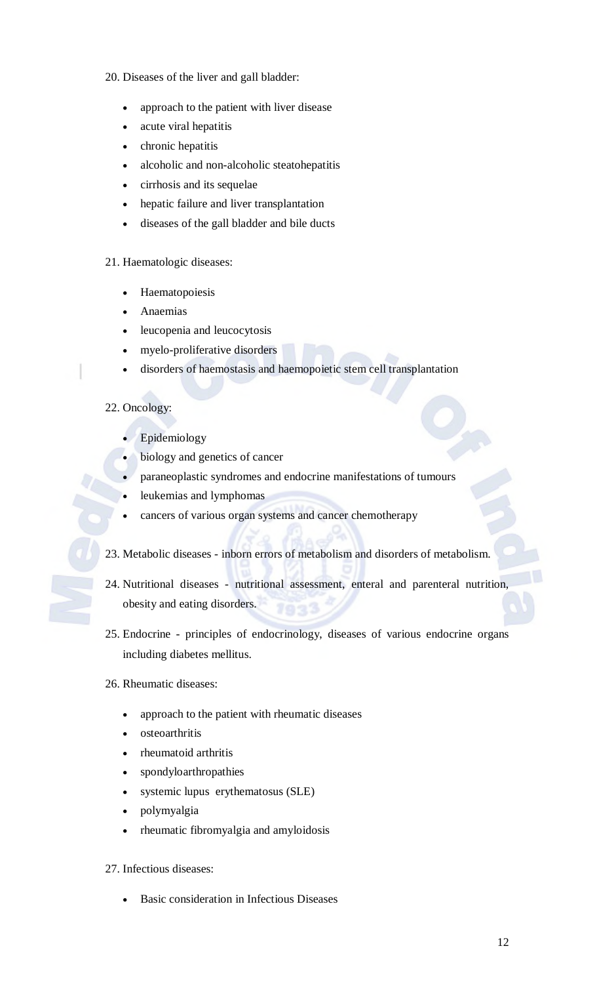## 20. Diseases of the liver and gall bladder:

- approach to the patient with liver disease
- acute viral hepatitis
- chronic hepatitis
- alcoholic and non-alcoholic steatohepatitis
- cirrhosis and its sequelae
- hepatic failure and liver transplantation
- diseases of the gall bladder and bile ducts

## 21. Haematologic diseases:

- Haematopoiesis
- Anaemias
- leucopenia and leucocytosis
- myelo-proliferative disorders
- disorders of haemostasis and haemopoietic stem cell transplantation

# 22. Oncology:

- Epidemiology
- biology and genetics of cancer
- paraneoplastic syndromes and endocrine manifestations of tumours
- leukemias and lymphomas
- cancers of various organ systems and cancer chemotherapy
- 23. Metabolic diseases inborn errors of metabolism and disorders of metabolism.
- 24. Nutritional diseases nutritional assessment, enteral and parenteral nutrition, obesity and eating disorders.
- 25. Endocrine principles of endocrinology, diseases of various endocrine organs including diabetes mellitus.

#### 26. Rheumatic diseases:

- approach to the patient with rheumatic diseases
- osteoarthritis
- rheumatoid arthritis
- spondyloarthropathies
- systemic lupus erythematosus (SLE)
- polymyalgia
- rheumatic fibromyalgia and amyloidosis

#### 27. Infectious diseases:

Basic consideration in Infectious Diseases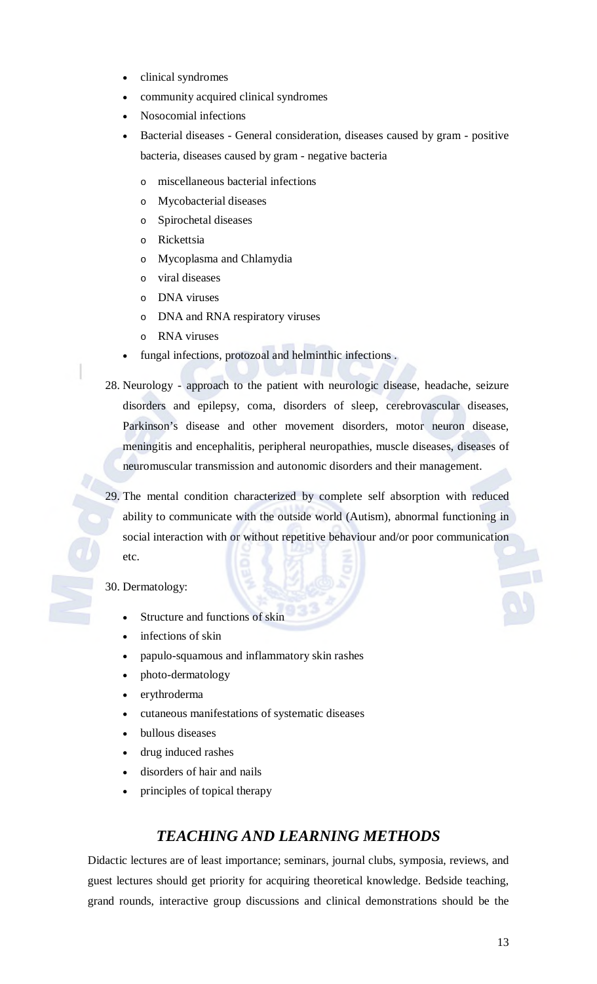- clinical syndromes
- community acquired clinical syndromes
- Nosocomial infections
- Bacterial diseases General consideration, diseases caused by gram positive bacteria, diseases caused by gram - negative bacteria
	- o miscellaneous bacterial infections
	- o Mycobacterial diseases
	- o Spirochetal diseases
	- o Rickettsia
	- o Mycoplasma and Chlamydia
	- o viral diseases
	- o DNA viruses
	- o DNA and RNA respiratory viruses
	- o RNA viruses
- fungal infections, protozoal and helminthic infections .
- 28. Neurology approach to the patient with neurologic disease, headache, seizure disorders and epilepsy, coma, disorders of sleep, cerebrovascular diseases, Parkinson's disease and other movement disorders, motor neuron disease, meningitis and encephalitis, peripheral neuropathies, muscle diseases, diseases of neuromuscular transmission and autonomic disorders and their management.
- 29. The mental condition characterized by complete self absorption with reduced ability to communicate with the outside world (Autism), abnormal functioning in social interaction with or without repetitive behaviour and/or poor communication etc.

30. Dermatology:

- Structure and functions of skin
- infections of skin
- papulo-squamous and inflammatory skin rashes
- photo-dermatology
- erythroderma
- cutaneous manifestations of systematic diseases
- bullous diseases
- drug induced rashes
- disorders of hair and nails
- principles of topical therapy

# *TEACHING AND LEARNING METHODS*

Didactic lectures are of least importance; seminars, journal clubs, symposia, reviews, and guest lectures should get priority for acquiring theoretical knowledge. Bedside teaching, grand rounds, interactive group discussions and clinical demonstrations should be the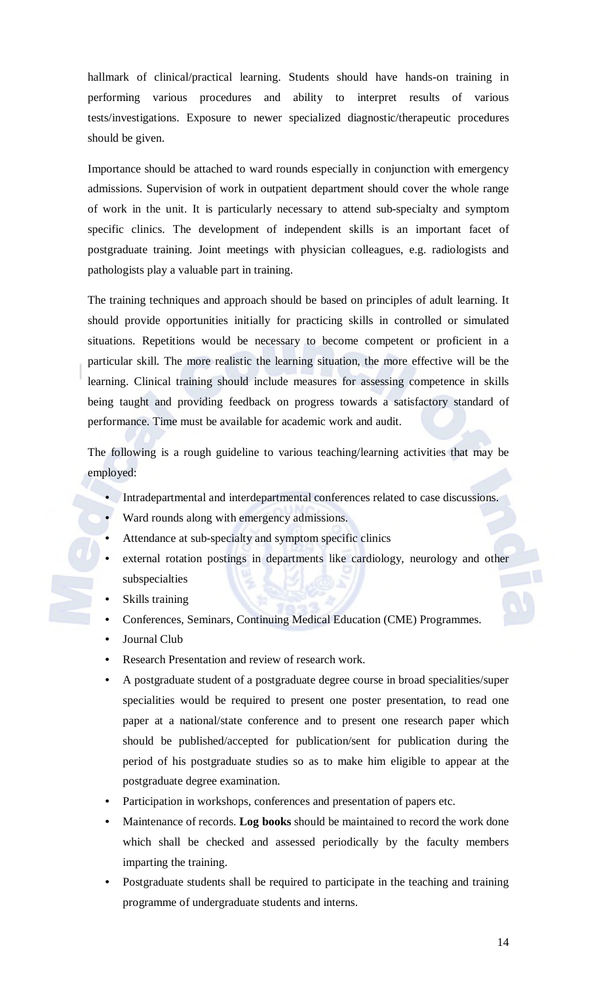hallmark of clinical/practical learning. Students should have hands-on training in performing various procedures and ability to interpret results of various tests/investigations. Exposure to newer specialized diagnostic/therapeutic procedures should be given.

Importance should be attached to ward rounds especially in conjunction with emergency admissions. Supervision of work in outpatient department should cover the whole range of work in the unit. It is particularly necessary to attend sub-specialty and symptom specific clinics. The development of independent skills is an important facet of postgraduate training. Joint meetings with physician colleagues, e.g. radiologists and pathologists play a valuable part in training.

The training techniques and approach should be based on principles of adult learning. It should provide opportunities initially for practicing skills in controlled or simulated situations. Repetitions would be necessary to become competent or proficient in a particular skill. The more realistic the learning situation, the more effective will be the learning. Clinical training should include measures for assessing competence in skills being taught and providing feedback on progress towards a satisfactory standard of performance. Time must be available for academic work and audit.

The following is a rough guideline to various teaching/learning activities that may be employed:

- Intradepartmental and interdepartmental conferences related to case discussions.
- Ward rounds along with emergency admissions.
- Attendance at sub-specialty and symptom specific clinics
- external rotation postings in departments like cardiology, neurology and other subspecialties
- Skills training
- Conferences, Seminars, Continuing Medical Education (CME) Programmes.
- Journal Club
- Research Presentation and review of research work.
- A postgraduate student of a postgraduate degree course in broad specialities/super specialities would be required to present one poster presentation, to read one paper at a national/state conference and to present one research paper which should be published/accepted for publication/sent for publication during the period of his postgraduate studies so as to make him eligible to appear at the postgraduate degree examination.
- Participation in workshops, conferences and presentation of papers etc.
- Maintenance of records. **Log books** should be maintained to record the work done which shall be checked and assessed periodically by the faculty members imparting the training.
- Postgraduate students shall be required to participate in the teaching and training programme of undergraduate students and interns.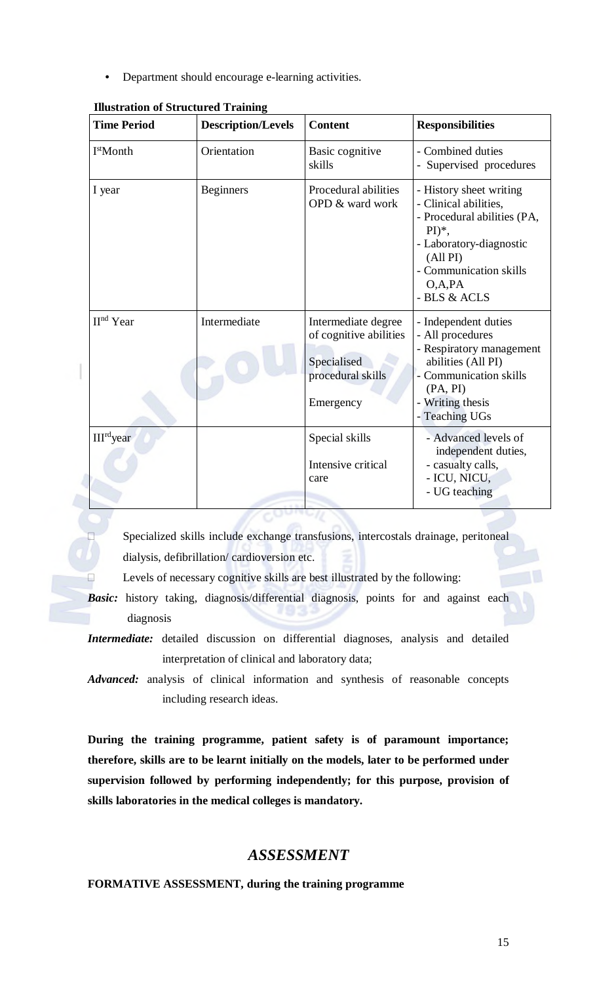• Department should encourage e-learning activities.

| <b>Time Period</b>                   | <b>Description/Levels</b> | <b>Content</b>                                                                                 | <b>Responsibilities</b>                                                                                                                                                                              |  |  |
|--------------------------------------|---------------------------|------------------------------------------------------------------------------------------------|------------------------------------------------------------------------------------------------------------------------------------------------------------------------------------------------------|--|--|
| I <sup>st</sup> Month<br>Orientation |                           | Basic cognitive<br>skills                                                                      | - Combined duties<br>- Supervised procedures                                                                                                                                                         |  |  |
| I year                               | <b>Beginners</b>          | Procedural abilities<br>OPD & ward work                                                        | - History sheet writing<br>- Clinical abilities,<br>- Procedural abilities (PA,<br>$PI)$ <sup>*</sup> ,<br>- Laboratory-diagnostic<br>(All PI)<br>- Communication skills<br>O, A, PA<br>- BLS & ACLS |  |  |
| II <sup>nd</sup> Year                | Intermediate              | Intermediate degree<br>of cognitive abilities<br>Specialised<br>procedural skills<br>Emergency | - Independent duties<br>- All procedures<br>- Respiratory management<br>abilities (All PI)<br>- Communication skills<br>(PA, PI)<br>- Writing thesis<br>- Teaching UGs                               |  |  |
| III <sup>rd</sup> year               |                           | Special skills<br>Intensive critical<br>care                                                   | - Advanced levels of<br>independent duties,<br>- casualty calls,<br>- ICU, NICU,<br>- UG teaching                                                                                                    |  |  |

 Specialized skills include exchange transfusions, intercostals drainage, peritoneal dialysis, defibrillation/ cardioversion etc.

Levels of necessary cognitive skills are best illustrated by the following:

- **Basic:** history taking, diagnosis/differential diagnosis, points for and against each diagnosis
- *Intermediate:* detailed discussion on differential diagnoses, analysis and detailed interpretation of clinical and laboratory data;

*Advanced:* analysis of clinical information and synthesis of reasonable concepts including research ideas.

**During the training programme, patient safety is of paramount importance; therefore, skills are to be learnt initially on the models, later to be performed under supervision followed by performing independently; for this purpose, provision of skills laboratories in the medical colleges is mandatory.** 

# *ASSESSMENT*

**FORMATIVE ASSESSMENT, during the training programme**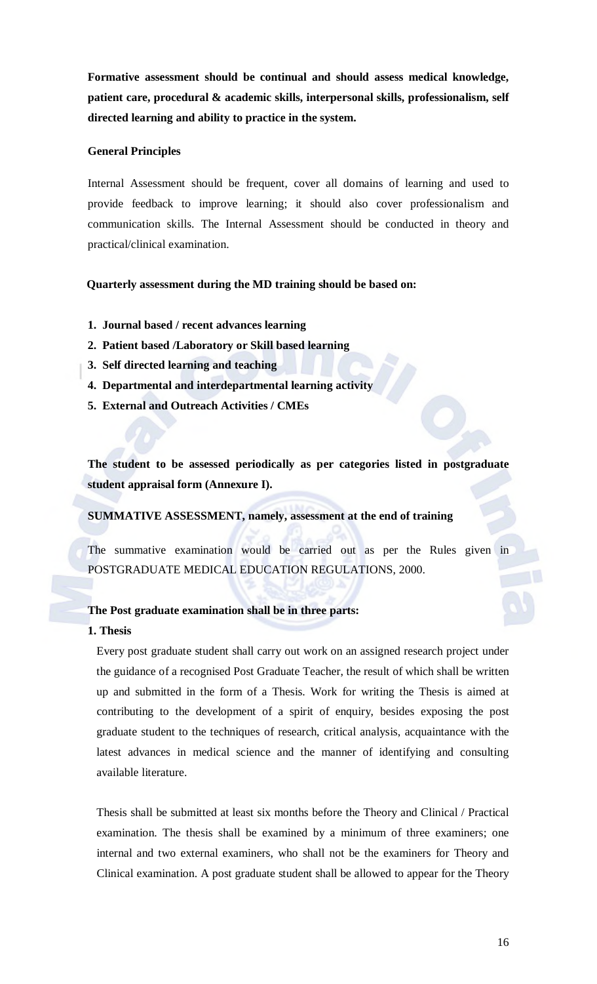**Formative assessment should be continual and should assess medical knowledge, patient care, procedural & academic skills, interpersonal skills, professionalism, self directed learning and ability to practice in the system.**

#### **General Principles**

Internal Assessment should be frequent, cover all domains of learning and used to provide feedback to improve learning; it should also cover professionalism and communication skills. The Internal Assessment should be conducted in theory and practical/clinical examination.

#### **Quarterly assessment during the MD training should be based on:**

- **1. Journal based / recent advances learning**
- **2. Patient based /Laboratory or Skill based learning**
- **3. Self directed learning and teaching**
- **4. Departmental and interdepartmental learning activity**
- **5. External and Outreach Activities / CMEs**

**The student to be assessed periodically as per categories listed in postgraduate student appraisal form (Annexure I).** 

#### **SUMMATIVE ASSESSMENT, namely, assessment at the end of training**

The summative examination would be carried out as per the Rules given in POSTGRADUATE MEDICAL EDUCATION REGULATIONS, 2000.

#### **The Post graduate examination shall be in three parts:**

#### **1. Thesis**

Every post graduate student shall carry out work on an assigned research project under the guidance of a recognised Post Graduate Teacher, the result of which shall be written up and submitted in the form of a Thesis. Work for writing the Thesis is aimed at contributing to the development of a spirit of enquiry, besides exposing the post graduate student to the techniques of research, critical analysis, acquaintance with the latest advances in medical science and the manner of identifying and consulting available literature.

Thesis shall be submitted at least six months before the Theory and Clinical / Practical examination. The thesis shall be examined by a minimum of three examiners; one internal and two external examiners, who shall not be the examiners for Theory and Clinical examination. A post graduate student shall be allowed to appear for the Theory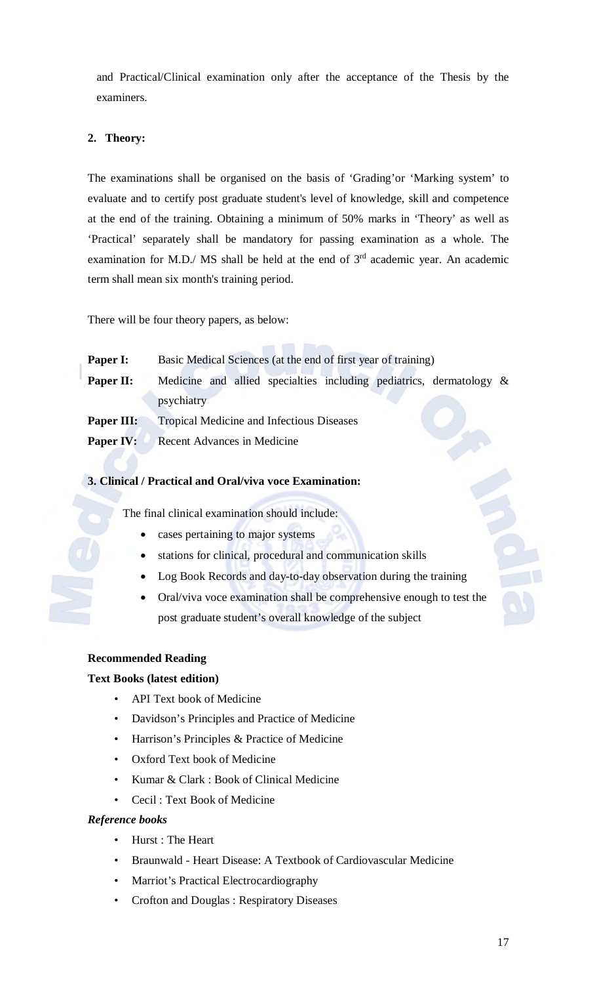and Practical/Clinical examination only after the acceptance of the Thesis by the examiners.

# **2. Theory:**

The examinations shall be organised on the basis of 'Grading'or 'Marking system' to evaluate and to certify post graduate student's level of knowledge, skill and competence at the end of the training. Obtaining a minimum of 50% marks in 'Theory' as well as 'Practical' separately shall be mandatory for passing examination as a whole. The examination for M.D./ MS shall be held at the end of  $3<sup>rd</sup>$  academic year. An academic term shall mean six month's training period.

There will be four theory papers, as below:

| Paper I:   | Basic Medical Sciences (at the end of first year of training)                        |  |  |  |  |  |  |  |  |  |
|------------|--------------------------------------------------------------------------------------|--|--|--|--|--|--|--|--|--|
| Paper II:  | Medicine and allied specialties including pediatrics, dermatology $\&$<br>psychiatry |  |  |  |  |  |  |  |  |  |
| Paper III: | <b>Tropical Medicine and Infectious Diseases</b>                                     |  |  |  |  |  |  |  |  |  |
| Paper IV:  | Recent Advances in Medicine                                                          |  |  |  |  |  |  |  |  |  |

and the first state

# **3. Clinical / Practical and Oral/viva voce Examination:**

The final clinical examination should include:

- cases pertaining to major systems
- stations for clinical, procedural and communication skills
- **Log Book Records and day-to-day observation during the training**
- Oral/viva voce examination shall be comprehensive enough to test the post graduate student's overall knowledge of the subject

# **Recommended Reading**

# **Text Books (latest edition)**

- API Text book of Medicine
- Davidson's Principles and Practice of Medicine
- Harrison's Principles & Practice of Medicine
- Oxford Text book of Medicine
- Kumar & Clark : Book of Clinical Medicine
- Cecil : Text Book of Medicine

## *Reference books*

- Hurst : The Heart
- Braunwald Heart Disease: A Textbook of Cardiovascular Medicine
- Marriot's Practical Electrocardiography
- Crofton and Douglas : Respiratory Diseases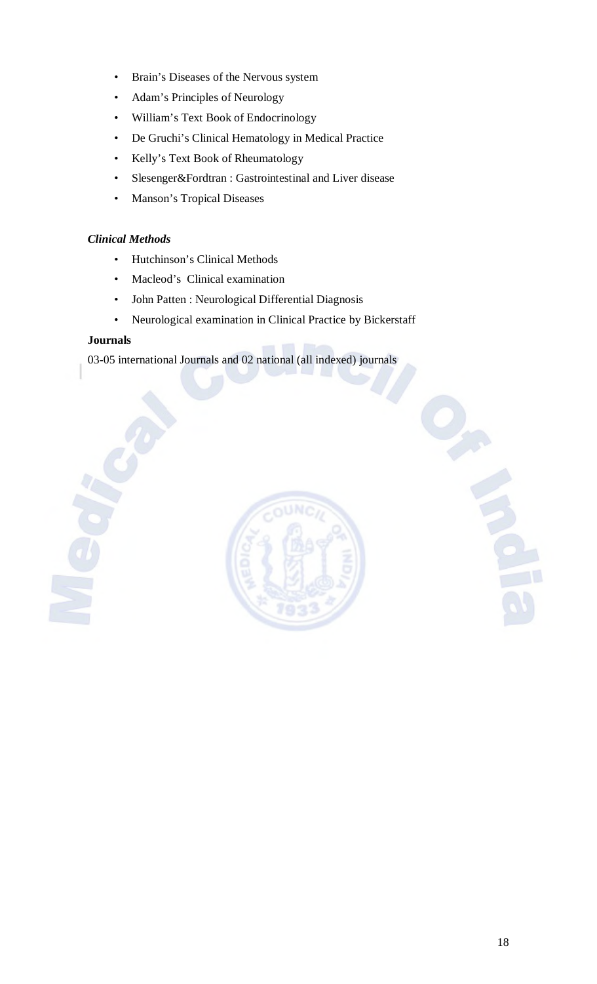- Brain's Diseases of the Nervous system
- Adam's Principles of Neurology
- William's Text Book of Endocrinology
- De Gruchi's Clinical Hematology in Medical Practice
- Kelly's Text Book of Rheumatology
- Slesenger&Fordtran : Gastrointestinal and Liver disease
- Manson's Tropical Diseases

# *Clinical Methods*

- Hutchinson's Clinical Methods
- Macleod's Clinical examination
- John Patten : Neurological Differential Diagnosis
- Neurological examination in Clinical Practice by Bickerstaff

# **Journals**

03-05 international Journals and 02 national (all indexed) journals